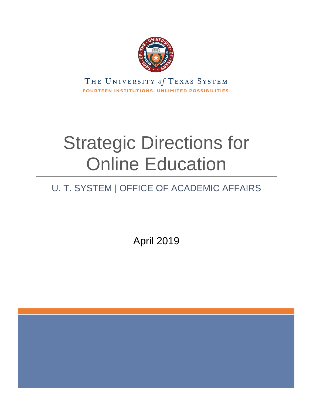

THE UNIVERSITY of TEXAS SYSTEM FOURTEEN INSTITUTIONS. UNLIMITED POSSIBILITIES.

# Strategic Directions for Online Education

# U. T. SYSTEM | OFFICE OF ACADEMIC AFFAIRS

April 2019

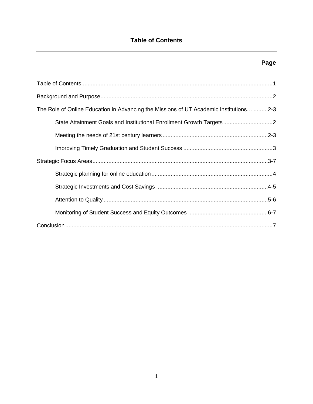### **Page**

| The Role of Online Education in Advancing the Missions of UT Academic Institutions 2-3 |
|----------------------------------------------------------------------------------------|
| State Attainment Goals and Institutional Enrollment Growth Targets                     |
|                                                                                        |
|                                                                                        |
|                                                                                        |
|                                                                                        |
|                                                                                        |
|                                                                                        |
|                                                                                        |
|                                                                                        |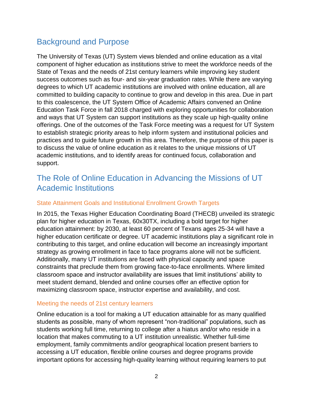# Background and Purpose

The University of Texas (UT) System views blended and online education as a vital component of higher education as institutions strive to meet the workforce needs of the State of Texas and the needs of 21st century learners while improving key student success outcomes such as four- and six-year graduation rates. While there are varying degrees to which UT academic institutions are involved with online education, all are committed to building capacity to continue to grow and develop in this area. Due in part to this coalescence, the UT System Office of Academic Affairs convened an Online Education Task Force in fall 2018 charged with exploring opportunities for collaboration and ways that UT System can support institutions as they scale up high-quality online offerings. One of the outcomes of the Task Force meeting was a request for UT System to establish strategic priority areas to help inform system and institutional policies and practices and to guide future growth in this area. Therefore, the purpose of this paper is to discuss the value of online education as it relates to the unique missions of UT academic institutions, and to identify areas for continued focus, collaboration and support.

# The Role of Online Education in Advancing the Missions of UT Academic Institutions

#### State Attainment Goals and Institutional Enrollment Growth Targets

In 2015, the Texas Higher Education Coordinating Board (THECB) unveiled its strategic plan for higher education in Texas, 60x30TX, including a bold target for higher education attainment: by 2030, at least 60 percent of Texans ages 25-34 will have a higher education certificate or degree. UT academic institutions play a significant role in contributing to this target, and online education will become an increasingly important strategy as growing enrollment in face to face programs alone will not be sufficient. Additionally, many UT institutions are faced with physical capacity and space constraints that preclude them from growing face-to-face enrollments. Where limited classroom space and instructor availability are issues that limit institutions' ability to meet student demand, blended and online courses offer an effective option for maximizing classroom space, instructor expertise and availability, and cost.

#### Meeting the needs of 21st century learners

Online education is a tool for making a UT education attainable for as many qualified students as possible, many of whom represent "non-traditional" populations, such as students working full time, returning to college after a hiatus and/or who reside in a location that makes commuting to a UT institution unrealistic. Whether full-time employment, family commitments and/or geographical location present barriers to accessing a UT education, flexible online courses and degree programs provide important options for accessing high-quality learning without requiring learners to put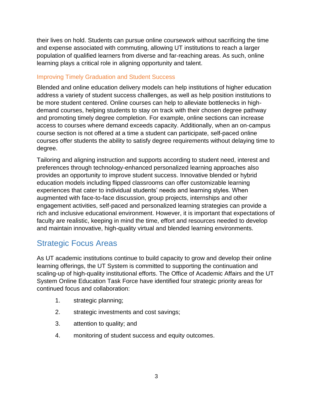their lives on hold. Students can pursue online coursework without sacrificing the time and expense associated with commuting, allowing UT institutions to reach a larger population of qualified learners from diverse and far-reaching areas. As such, online learning plays a critical role in aligning opportunity and talent.

#### Improving Timely Graduation and Student Success

Blended and online education delivery models can help institutions of higher education address a variety of student success challenges, as well as help position institutions to be more student centered. Online courses can help to alleviate bottlenecks in highdemand courses, helping students to stay on track with their chosen degree pathway and promoting timely degree completion. For example, online sections can increase access to courses where demand exceeds capacity. Additionally, when an on-campus course section is not offered at a time a student can participate, self-paced online courses offer students the ability to satisfy degree requirements without delaying time to degree.

Tailoring and aligning instruction and supports according to student need, interest and preferences through technology-enhanced personalized learning approaches also provides an opportunity to improve student success. Innovative blended or hybrid education models including flipped classrooms can offer customizable learning experiences that cater to individual students' needs and learning styles. When augmented with face-to-face discussion, group projects, internships and other engagement activities, self-paced and personalized learning strategies can provide a rich and inclusive educational environment. However, it is important that expectations of faculty are realistic, keeping in mind the time, effort and resources needed to develop and maintain innovative, high-quality virtual and blended learning environments.

## Strategic Focus Areas

As UT academic institutions continue to build capacity to grow and develop their online learning offerings, the UT System is committed to supporting the continuation and scaling-up of high-quality institutional efforts. The Office of Academic Affairs and the UT System Online Education Task Force have identified four strategic priority areas for continued focus and collaboration:

- 1. strategic planning;
- 2. strategic investments and cost savings;
- 3. attention to quality; and
- 4. monitoring of student success and equity outcomes.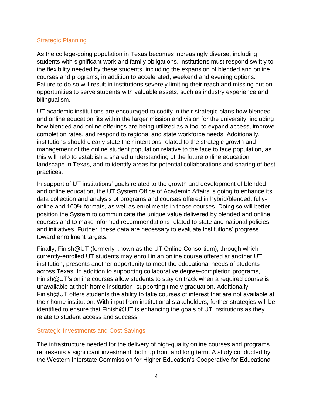#### Strategic Planning

As the college-going population in Texas becomes increasingly diverse, including students with significant work and family obligations, institutions must respond swiftly to the flexibility needed by these students, including the expansion of blended and online courses and programs, in addition to accelerated, weekend and evening options. Failure to do so will result in institutions severely limiting their reach and missing out on opportunities to serve students with valuable assets, such as industry experience and bilingualism.

UT academic institutions are encouraged to codify in their strategic plans how blended and online education fits within the larger mission and vision for the university, including how blended and online offerings are being utilized as a tool to expand access, improve completion rates, and respond to regional and state workforce needs. Additionally, institutions should clearly state their intentions related to the strategic growth and management of the online student population relative to the face to face population, as this will help to establish a shared understanding of the future online education landscape in Texas, and to identify areas for potential collaborations and sharing of best practices.

In support of UT institutions' goals related to the growth and development of blended and online education, the UT System Office of Academic Affairs is going to enhance its data collection and analysis of programs and courses offered in hybrid/blended, fullyonline and 100% formats, as well as enrollments in those courses. Doing so will better position the System to communicate the unique value delivered by blended and online courses and to make informed recommendations related to state and national policies and initiatives. Further, these data are necessary to evaluate institutions' progress toward enrollment targets.

Finally, Finish@UT (formerly known as the UT Online Consortium), through which currently-enrolled UT students may enroll in an online course offered at another UT institution, presents another opportunity to meet the educational needs of students across Texas. In addition to supporting collaborative degree-completion programs, Finish@UT's online courses allow students to stay on track when a required course is unavailable at their home institution, supporting timely graduation. Additionally, Finish@UT offers students the ability to take courses of interest that are not available at their home institution. With input from institutional stakeholders, further strategies will be identified to ensure that Finish@UT is enhancing the goals of UT institutions as they relate to student access and success.

#### Strategic Investments and Cost Savings

The infrastructure needed for the delivery of high-quality online courses and programs represents a significant investment, both up front and long term. A study conducted by the Western Interstate Commission for Higher Education's Cooperative for Educational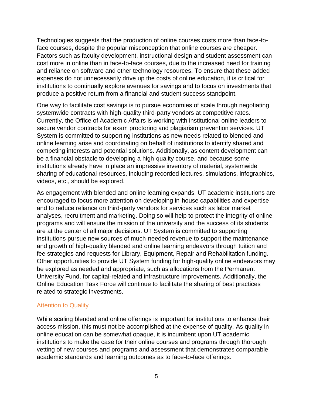Technologies suggests that the production of online courses costs more than face-toface courses, despite the popular misconception that online courses are cheaper. Factors such as faculty development, instructional design and student assessment can cost more in online than in face-to-face courses, due to the increased need for training and reliance on software and other technology resources. To ensure that these added expenses do not unnecessarily drive up the costs of online education, it is critical for institutions to continually explore avenues for savings and to focus on investments that produce a positive return from a financial and student success standpoint.

One way to facilitate cost savings is to pursue economies of scale through negotiating systemwide contracts with high-quality third-party vendors at competitive rates. Currently, the Office of Academic Affairs is working with institutional online leaders to secure vendor contracts for exam proctoring and plagiarism prevention services. UT System is committed to supporting institutions as new needs related to blended and online learning arise and coordinating on behalf of institutions to identify shared and competing interests and potential solutions. Additionally, as content development can be a financial obstacle to developing a high-quality course, and because some institutions already have in place an impressive inventory of material, systemwide sharing of educational resources, including recorded lectures, simulations, infographics, videos, etc., should be explored.

As engagement with blended and online learning expands, UT academic institutions are encouraged to focus more attention on developing in-house capabilities and expertise and to reduce reliance on third-party vendors for services such as labor market analyses, recruitment and marketing. Doing so will help to protect the integrity of online programs and will ensure the mission of the university and the success of its students are at the center of all major decisions. UT System is committed to supporting institutions pursue new sources of much-needed revenue to support the maintenance and growth of high-quality blended and online learning endeavors through tuition and fee strategies and requests for Library, Equipment, Repair and Rehabilitation funding. Other opportunities to provide UT System funding for high-quality online endeavors may be explored as needed and appropriate, such as allocations from the Permanent University Fund, for capital-related and infrastructure improvements. Additionally, the Online Education Task Force will continue to facilitate the sharing of best practices related to strategic investments.

#### Attention to Quality

While scaling blended and online offerings is important for institutions to enhance their access mission, this must not be accomplished at the expense of quality. As quality in online education can be somewhat opaque, it is incumbent upon UT academic institutions to make the case for their online courses and programs through thorough vetting of new courses and programs and assessment that demonstrates comparable academic standards and learning outcomes as to face-to-face offerings.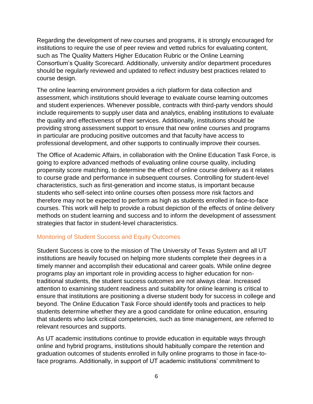Regarding the development of new courses and programs, it is strongly encouraged for institutions to require the use of peer review and vetted rubrics for evaluating content, such as The Quality Matters Higher Education Rubric or the Online Learning Consortium's Quality Scorecard. Additionally, university and/or department procedures should be regularly reviewed and updated to reflect industry best practices related to course design.

The online learning environment provides a rich platform for data collection and assessment, which institutions should leverage to evaluate course learning outcomes and student experiences. Whenever possible, contracts with third-party vendors should include requirements to supply user data and analytics, enabling institutions to evaluate the quality and effectiveness of their services. Additionally, institutions should be providing strong assessment support to ensure that new online courses and programs in particular are producing positive outcomes and that faculty have access to professional development, and other supports to continually improve their courses.

The Office of Academic Affairs, in collaboration with the Online Education Task Force, is going to explore advanced methods of evaluating online course quality, including propensity score matching, to determine the effect of online course delivery as it relates to course grade and performance in subsequent courses. Controlling for student-level characteristics, such as first-generation and income status, is important because students who self-select into online courses often possess more risk factors and therefore may not be expected to perform as high as students enrolled in face-to-face courses. This work will help to provide a robust depiction of the effects of online delivery methods on student learning and success and to inform the development of assessment strategies that factor in student-level characteristics.

#### Monitoring of Student Success and Equity Outcomes

Student Success is core to the mission of The University of Texas System and all UT institutions are heavily focused on helping more students complete their degrees in a timely manner and accomplish their educational and career goals. While online degree programs play an important role in providing access to higher education for nontraditional students, the student success outcomes are not always clear. Increased attention to examining student readiness and suitability for online learning is critical to ensure that institutions are positioning a diverse student body for success in college and beyond. The Online Education Task Force should identify tools and practices to help students determine whether they are a good candidate for online education, ensuring that students who lack critical competencies, such as time management, are referred to relevant resources and supports.

As UT academic institutions continue to provide education in equitable ways through online and hybrid programs, institutions should habitually compare the retention and graduation outcomes of students enrolled in fully online programs to those in face-toface programs. Additionally, in support of UT academic institutions' commitment to